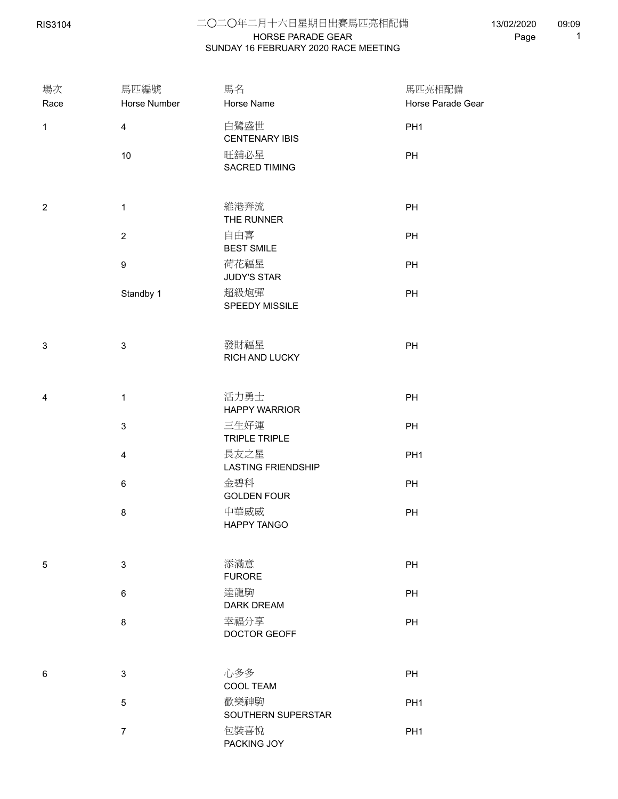RIS3104

## HORSE PARADE GEAR 二○二○年二月十六日星期日出賽馬匹亮相配備 SUNDAY 16 FEBRUARY 2020 RACE MEETING

13/02/2020 Page 1 09:09

| 場次<br>Race     | 馬匹編號<br>Horse Number      | 馬名<br>Horse Name                  | 馬匹亮相配備<br>Horse Parade Gear |
|----------------|---------------------------|-----------------------------------|-----------------------------|
| $\mathbf{1}$   | $\overline{\mathbf{4}}$   | 白鷺盛世<br><b>CENTENARY IBIS</b>     | PH <sub>1</sub>             |
|                | 10                        | 旺舖必星<br>SACRED TIMING             | PH                          |
| $\overline{2}$ | $\mathbf 1$               | 維港奔流<br>THE RUNNER                | PH                          |
|                | $\sqrt{2}$                | 自由喜<br><b>BEST SMILE</b>          | PH                          |
|                | $\boldsymbol{9}$          | 荷花福星<br><b>JUDY'S STAR</b>        | PH                          |
|                | Standby 1                 | 超級炮彈<br>SPEEDY MISSILE            | PH                          |
| $\mathfrak{S}$ | $\ensuremath{\mathsf{3}}$ | 發財福星<br>RICH AND LUCKY            | PH                          |
| 4              | $\mathbf 1$               | 活力勇士<br><b>HAPPY WARRIOR</b>      | PH                          |
|                | 3                         | 三生好運<br><b>TRIPLE TRIPLE</b>      | PH                          |
|                | $\overline{4}$            | 長友之星<br><b>LASTING FRIENDSHIP</b> | PH <sub>1</sub>             |
|                | $\,6\,$                   | 金碧科<br><b>GOLDEN FOUR</b>         | PH                          |
|                | 8                         | 中華威威<br>HAPPY TANGO               | PH                          |
| 5              | 3                         | 添滿意<br><b>FURORE</b>              | PH                          |
|                | $\,6\,$                   | 達龍駒<br><b>DARK DREAM</b>          | PH                          |
|                | $\bf 8$                   | 幸福分享<br>DOCTOR GEOFF              | PH                          |
| 6              | 3                         | 心多多<br>COOL TEAM                  | PH                          |
|                | 5                         | 歡樂神駒<br>SOUTHERN SUPERSTAR        | PH <sub>1</sub>             |
|                | $\boldsymbol{7}$          | 包裝喜悅<br>PACKING JOY               | PH <sub>1</sub>             |